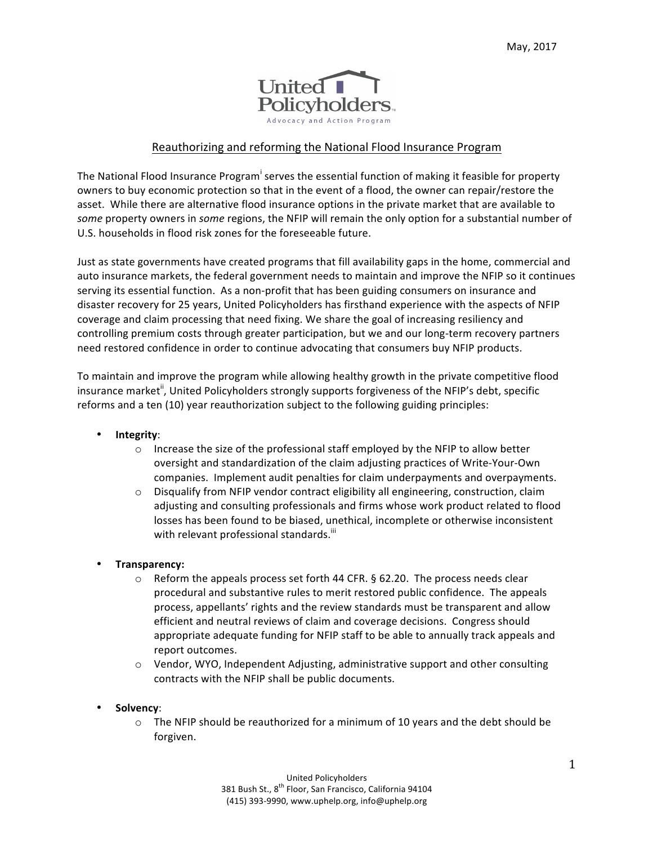

# Reauthorizing and reforming the National Flood Insurance Program

The National Flood Insurance Program<sup>i</sup> serves the essential function of making it feasible for property owners to buy economic protection so that in the event of a flood, the owner can repair/restore the asset. While there are alternative flood insurance options in the private market that are available to *some* property owners in *some* regions, the NFIP will remain the only option for a substantial number of U.S. households in flood risk zones for the foreseeable future.

Just as state governments have created programs that fill availability gaps in the home, commercial and auto insurance markets, the federal government needs to maintain and improve the NFIP so it continues serving its essential function. As a non-profit that has been guiding consumers on insurance and disaster recovery for 25 years, United Policyholders has firsthand experience with the aspects of NFIP coverage and claim processing that need fixing. We share the goal of increasing resiliency and controlling premium costs through greater participation, but we and our long-term recovery partners need restored confidence in order to continue advocating that consumers buy NFIP products.

To maintain and improve the program while allowing healthy growth in the private competitive flood insurance market<sup>ii</sup>, United Policyholders strongly supports forgiveness of the NFIP's debt, specific reforms and a ten (10) year reauthorization subject to the following guiding principles:

- **Integrity**:
	- $\circ$  Increase the size of the professional staff employed by the NFIP to allow better oversight and standardization of the claim adjusting practices of Write-Your-Own companies. Implement audit penalties for claim underpayments and overpayments.
	- $\circ$  Disqualify from NFIP vendor contract eligibility all engineering, construction, claim adjusting and consulting professionals and firms whose work product related to flood losses has been found to be biased, unethical, incomplete or otherwise inconsistent with relevant professional standards.<sup>iii</sup>
- **Transparency:**
	- $\circ$  Reform the appeals process set forth 44 CFR. § 62.20. The process needs clear procedural and substantive rules to merit restored public confidence. The appeals process, appellants' rights and the review standards must be transparent and allow efficient and neutral reviews of claim and coverage decisions. Congress should appropriate adequate funding for NFIP staff to be able to annually track appeals and report outcomes.
	- $\circ$  Vendor, WYO, Independent Adjusting, administrative support and other consulting contracts with the NFIP shall be public documents.
- **Solvency**:
	- $\circ$  The NFIP should be reauthorized for a minimum of 10 years and the debt should be forgiven.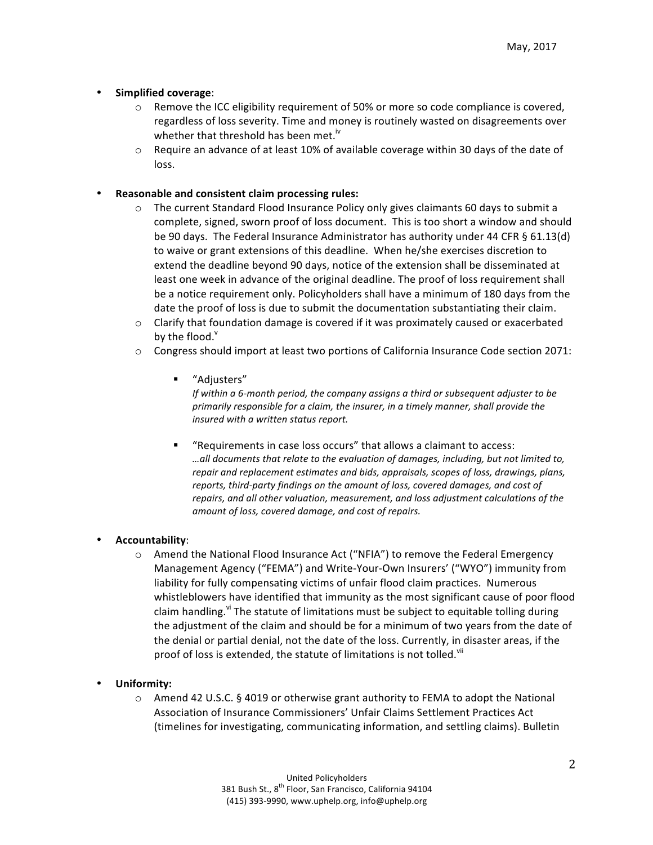# • **Simplified coverage**:

- $\circ$  Remove the ICC eligibility requirement of 50% or more so code compliance is covered, regardless of loss severity. Time and money is routinely wasted on disagreements over whether that threshold has been met.<sup>iv</sup>
- $\circ$  Require an advance of at least 10% of available coverage within 30 days of the date of loss.

## Reasonable and consistent claim processing rules:

- $\circ$  The current Standard Flood Insurance Policy only gives claimants 60 days to submit a complete, signed, sworn proof of loss document. This is too short a window and should be 90 days. The Federal Insurance Administrator has authority under 44 CFR § 61.13(d) to waive or grant extensions of this deadline. When he/she exercises discretion to extend the deadline beyond 90 days, notice of the extension shall be disseminated at least one week in advance of the original deadline. The proof of loss requirement shall be a notice requirement only. Policyholders shall have a minimum of 180 days from the date the proof of loss is due to submit the documentation substantiating their claim.
- $\circ$  Clarify that foundation damage is covered if it was proximately caused or exacerbated by the flood. $<sup>v</sup>$ </sup>
- $\circ$  Congress should import at least two portions of California Insurance Code section 2071:
	- § "Adjusters"

*If within a 6-month period, the company assigns a third or subsequent adjuster to be* primarily responsible for a claim, the insurer, in a timely manner, shall provide the *insured with a written status report.*

"Requirements in case loss occurs" that allows a claimant to access: *…all documents that relate to the evaluation of damages, including, but not limited to, repair and replacement estimates and bids, appraisals, scopes of loss, drawings, plans,* reports, third-party findings on the amount of loss, covered damages, and cost of repairs, and all other valuation, measurement, and loss adjustment calculations of the amount of loss, covered damage, and cost of repairs.

### • **Accountability**:

- $\circ$  Amend the National Flood Insurance Act ("NFIA") to remove the Federal Emergency Management Agency ("FEMA") and Write-Your-Own Insurers' ("WYO") immunity from liability for fully compensating victims of unfair flood claim practices. Numerous whistleblowers have identified that immunity as the most significant cause of poor flood claim handling.<sup>vi</sup> The statute of limitations must be subject to equitable tolling during the adjustment of the claim and should be for a minimum of two years from the date of the denial or partial denial, not the date of the loss. Currently, in disaster areas, if the proof of loss is extended, the statute of limitations is not tolled. Vii
- **Uniformity:**
	- $\circ$  Amend 42 U.S.C. § 4019 or otherwise grant authority to FEMA to adopt the National Association of Insurance Commissioners' Unfair Claims Settlement Practices Act (timelines for investigating, communicating information, and settling claims). Bulletin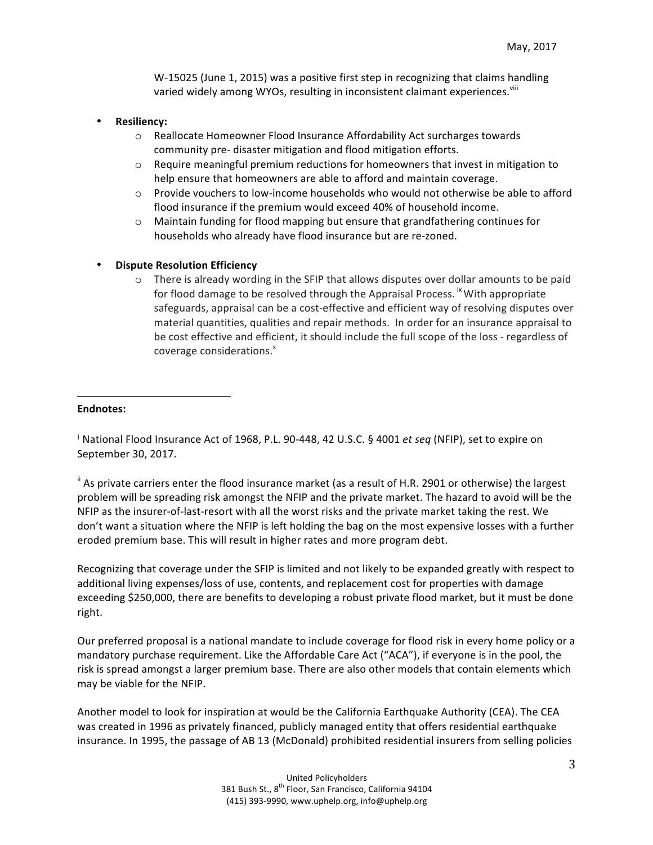W-15025 (June 1, 2015) was a positive first step in recognizing that claims handling varied widely among WYOs, resulting in inconsistent claimant experiences. VIII

- **Resiliency:**
	- o Reallocate Homeowner Flood Insurance Affordability Act surcharges towards community pre- disaster mitigation and flood mitigation efforts.
	- $\circ$  Require meaningful premium reductions for homeowners that invest in mitigation to help ensure that homeowners are able to afford and maintain coverage.
	- $\circ$  Provide vouchers to low-income households who would not otherwise be able to afford flood insurance if the premium would exceed 40% of household income.
	- $\circ$  Maintain funding for flood mapping but ensure that grandfathering continues for households who already have flood insurance but are re-zoned.
- **Dispute Resolution Efficiency**

 

 $\circ$  There is already wording in the SFIP that allows disputes over dollar amounts to be paid for flood damage to be resolved through the Appraisal Process. <sup>ix</sup> With appropriate safeguards, appraisal can be a cost-effective and efficient way of resolving disputes over material quantities, qualities and repair methods. In order for an insurance appraisal to be cost effective and efficient, it should include the full scope of the loss - regardless of coverage considerations.<sup>x</sup>

#### **Endnotes:**

<sup>i</sup> National Flood Insurance Act of 1968, P.L. 90-448, 42 U.S.C. § 4001 *et seq* (NFIP), set to expire on September 30, 2017.

 $\mathrm{H}$  As private carriers enter the flood insurance market (as a result of H.R. 2901 or otherwise) the largest problem will be spreading risk amongst the NFIP and the private market. The hazard to avoid will be the NFIP as the insurer-of-last-resort with all the worst risks and the private market taking the rest. We don't want a situation where the NFIP is left holding the bag on the most expensive losses with a further eroded premium base. This will result in higher rates and more program debt.

Recognizing that coverage under the SFIP is limited and not likely to be expanded greatly with respect to additional living expenses/loss of use, contents, and replacement cost for properties with damage exceeding \$250,000, there are benefits to developing a robust private flood market, but it must be done right.

Our preferred proposal is a national mandate to include coverage for flood risk in every home policy or a mandatory purchase requirement. Like the Affordable Care Act ("ACA"), if everyone is in the pool, the risk is spread amongst a larger premium base. There are also other models that contain elements which may be viable for the NFIP.

Another model to look for inspiration at would be the California Earthquake Authority (CEA). The CEA was created in 1996 as privately financed, publicly managed entity that offers residential earthquake insurance. In 1995, the passage of AB 13 (McDonald) prohibited residential insurers from selling policies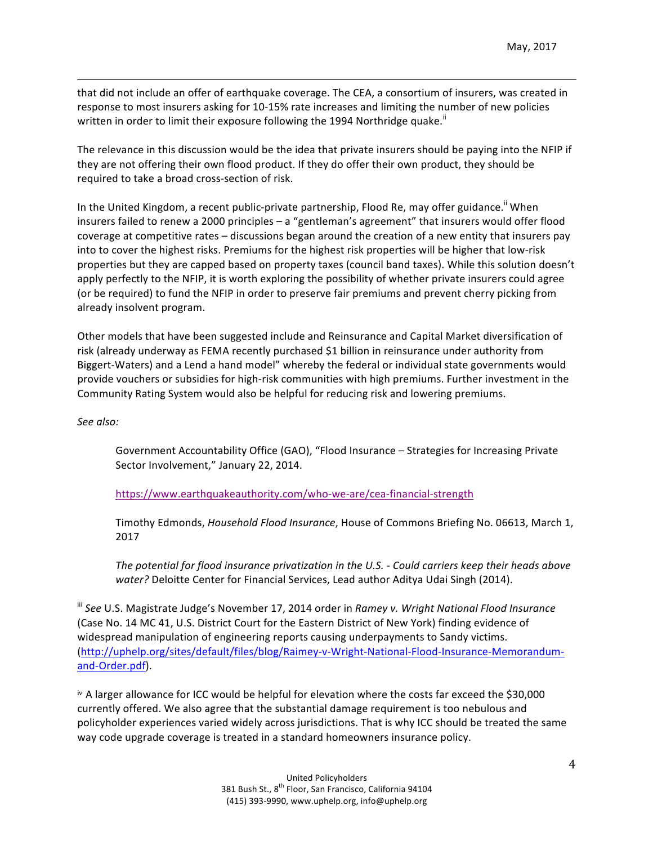that did not include an offer of earthquake coverage. The CEA, a consortium of insurers, was created in response to most insurers asking for 10-15% rate increases and limiting the number of new policies written in order to limit their exposure following the 1994 Northridge quake."

<u> 1989 - Andrea San Andrea San Andrea San Andrea San Andrea San Andrea San Andrea San Andrea San Andrea San An</u>

The relevance in this discussion would be the idea that private insurers should be paying into the NFIP if they are not offering their own flood product. If they do offer their own product, they should be required to take a broad cross-section of risk.

In the United Kingdom, a recent public-private partnership, Flood Re, may offer guidance." When insurers failed to renew a 2000 principles – a "gentleman's agreement" that insurers would offer flood coverage at competitive rates – discussions began around the creation of a new entity that insurers pay into to cover the highest risks. Premiums for the highest risk properties will be higher that low-risk properties but they are capped based on property taxes (council band taxes). While this solution doesn't apply perfectly to the NFIP, it is worth exploring the possibility of whether private insurers could agree (or be required) to fund the NFIP in order to preserve fair premiums and prevent cherry picking from already insolvent program.

Other models that have been suggested include and Reinsurance and Capital Market diversification of risk (already underway as FEMA recently purchased \$1 billion in reinsurance under authority from Biggert-Waters) and a Lend a hand model" whereby the federal or individual state governments would provide vouchers or subsidies for high-risk communities with high premiums. Further investment in the Community Rating System would also be helpful for reducing risk and lowering premiums.

*See also:* 

Government Accountability Office (GAO), "Flood Insurance - Strategies for Increasing Private Sector Involvement," January 22, 2014.

 https://www.earthquakeauthority.com/who-we-are/cea-financial-strength

Timothy Edmonds, *Household Flood Insurance*, House of Commons Briefing No. 06613, March 1, 2017

The potential for flood insurance privatization in the U.S. - Could carriers keep their heads above *water?* Deloitte Center for Financial Services, Lead author Aditya Udai Singh (2014).

<sup>iii</sup> See U.S. Magistrate Judge's November 17, 2014 order in *Ramey v. Wright National Flood Insurance* (Case No. 14 MC 41, U.S. District Court for the Eastern District of New York) finding evidence of widespread manipulation of engineering reports causing underpayments to Sandy victims. (http://uphelp.org/sites/default/files/blog/Raimey-v-Wright-National-Flood-Insurance-Memorandumand-Order.pdf). 

iv A larger allowance for ICC would be helpful for elevation where the costs far exceed the \$30,000 currently offered. We also agree that the substantial damage requirement is too nebulous and policyholder experiences varied widely across jurisdictions. That is why ICC should be treated the same way code upgrade coverage is treated in a standard homeowners insurance policy.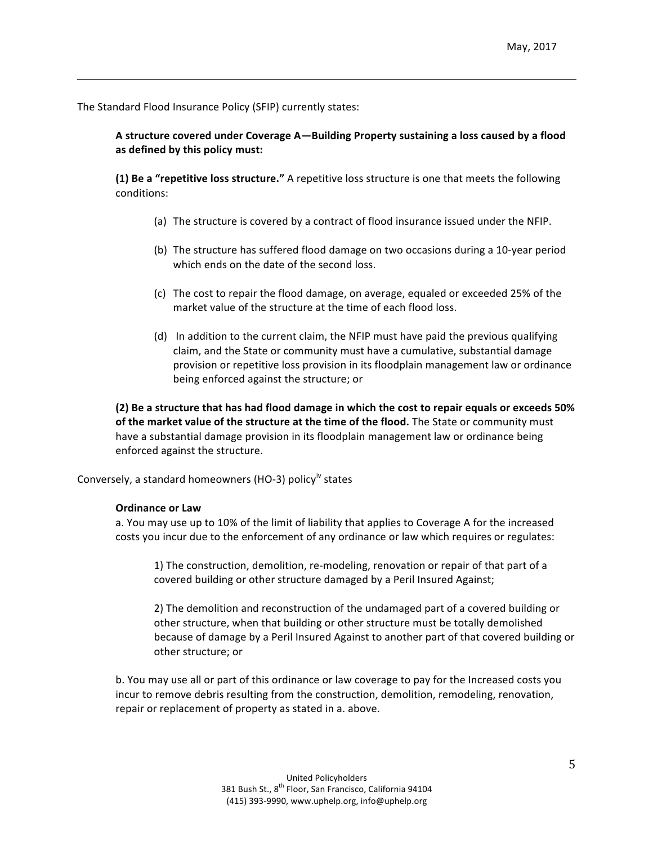The Standard Flood Insurance Policy (SFIP) currently states:

A structure covered under Coverage A—Building Property sustaining a loss caused by a flood as defined by this policy must:

<u> 1989 - Andrea San Andrea San Andrea San Andrea San Andrea San Andrea San Andrea San Andrea San Andrea San An</u>

**(1)** Be a "repetitive loss structure." A repetitive loss structure is one that meets the following conditions:

- (a) The structure is covered by a contract of flood insurance issued under the NFIP.
- (b) The structure has suffered flood damage on two occasions during a 10-year period which ends on the date of the second loss.
- (c) The cost to repair the flood damage, on average, equaled or exceeded 25% of the market value of the structure at the time of each flood loss.
- (d) In addition to the current claim, the NFIP must have paid the previous qualifying claim, and the State or community must have a cumulative, substantial damage provision or repetitive loss provision in its floodplain management law or ordinance being enforced against the structure; or

**(2)** Be a structure that has had flood damage in which the cost to repair equals or exceeds 50% of the market value of the structure at the time of the flood. The State or community must have a substantial damage provision in its floodplain management law or ordinance being enforced against the structure.

Conversely, a standard homeowners (HO-3) policy<sup>iv</sup> states

#### **Ordinance or Law**

a. You may use up to 10% of the limit of liability that applies to Coverage A for the increased costs you incur due to the enforcement of any ordinance or law which requires or regulates:

1) The construction, demolition, re-modeling, renovation or repair of that part of a covered building or other structure damaged by a Peril Insured Against;

2) The demolition and reconstruction of the undamaged part of a covered building or other structure, when that building or other structure must be totally demolished because of damage by a Peril Insured Against to another part of that covered building or other structure; or

b. You may use all or part of this ordinance or law coverage to pay for the Increased costs you incur to remove debris resulting from the construction, demolition, remodeling, renovation, repair or replacement of property as stated in a. above.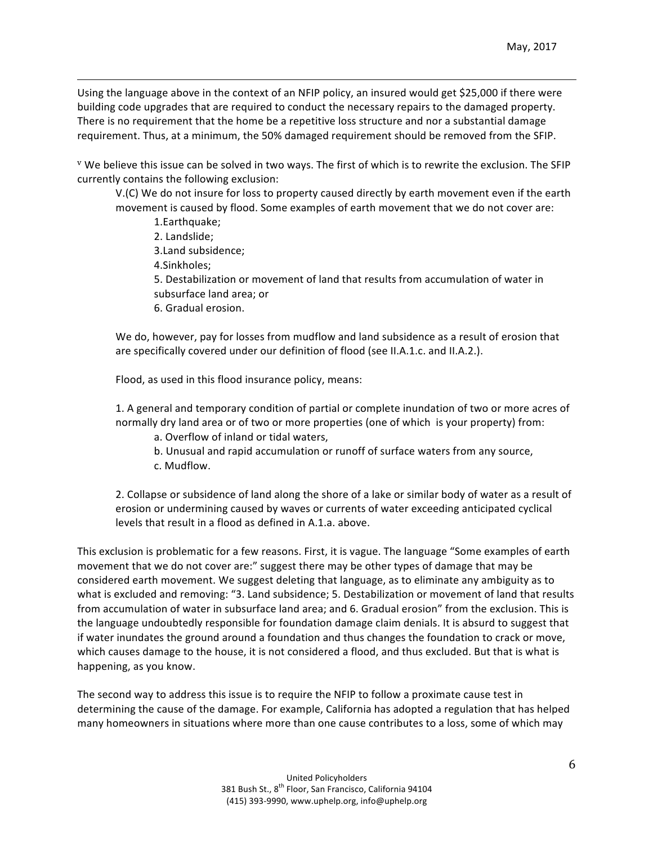Using the language above in the context of an NFIP policy, an insured would get \$25,000 if there were building code upgrades that are required to conduct the necessary repairs to the damaged property. There is no requirement that the home be a repetitive loss structure and nor a substantial damage requirement. Thus, at a minimum, the 50% damaged requirement should be removed from the SFIP.

<u> 1989 - Andrea San Andrea San Andrea San Andrea San Andrea San Andrea San Andrea San Andrea San Andrea San An</u>

 $V$  We believe this issue can be solved in two ways. The first of which is to rewrite the exclusion. The SFIP currently contains the following exclusion:

V.(C) We do not insure for loss to property caused directly by earth movement even if the earth movement is caused by flood. Some examples of earth movement that we do not cover are: 1.Earthquake;

- 2. Landslide:
- 3.Land subsidence;
- 4.Sinkholes;

5. Destabilization or movement of land that results from accumulation of water in subsurface land area; or

6. Gradual erosion.

We do, however, pay for losses from mudflow and land subsidence as a result of erosion that are specifically covered under our definition of flood (see II.A.1.c. and II.A.2.).

Flood, as used in this flood insurance policy, means:

1. A general and temporary condition of partial or complete inundation of two or more acres of normally dry land area or of two or more properties (one of which is your property) from:

- a. Overflow of inland or tidal waters,
- b. Unusual and rapid accumulation or runoff of surface waters from any source, c. Mudflow.

2. Collapse or subsidence of land along the shore of a lake or similar body of water as a result of erosion or undermining caused by waves or currents of water exceeding anticipated cyclical levels that result in a flood as defined in A.1.a. above.

This exclusion is problematic for a few reasons. First, it is vague. The language "Some examples of earth movement that we do not cover are:" suggest there may be other types of damage that may be considered earth movement. We suggest deleting that language, as to eliminate any ambiguity as to what is excluded and removing: "3. Land subsidence; 5. Destabilization or movement of land that results from accumulation of water in subsurface land area; and 6. Gradual erosion" from the exclusion. This is the language undoubtedly responsible for foundation damage claim denials. It is absurd to suggest that if water inundates the ground around a foundation and thus changes the foundation to crack or move, which causes damage to the house, it is not considered a flood, and thus excluded. But that is what is happening, as you know.

The second way to address this issue is to require the NFIP to follow a proximate cause test in determining the cause of the damage. For example, California has adopted a regulation that has helped many homeowners in situations where more than one cause contributes to a loss, some of which may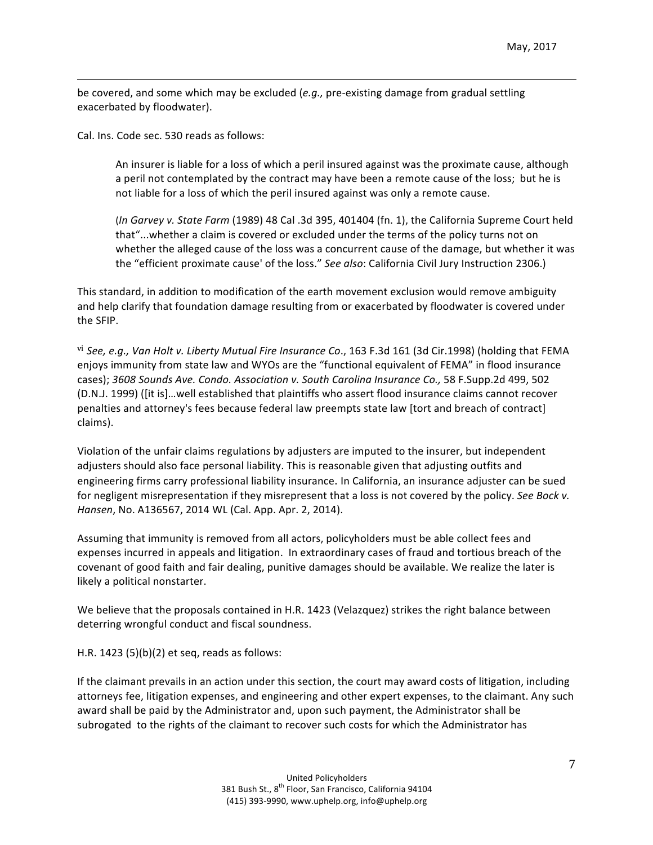be covered, and some which may be excluded (e.g., pre-existing damage from gradual settling exacerbated by floodwater).

<u> 1989 - Andrea San Andrea San Andrea San Andrea San Andrea San Andrea San Andrea San Andrea San Andrea San An</u>

Cal. Ins. Code sec. 530 reads as follows:

An insurer is liable for a loss of which a peril insured against was the proximate cause, although a peril not contemplated by the contract may have been a remote cause of the loss; but he is not liable for a loss of which the peril insured against was only a remote cause.

(*In Garvey v. State Farm* (1989) 48 Cal .3d 395, 401404 (fn. 1), the California Supreme Court held that"...whether a claim is covered or excluded under the terms of the policy turns not on whether the alleged cause of the loss was a concurrent cause of the damage, but whether it was the "efficient proximate cause' of the loss." See also: California Civil Jury Instruction 2306.)

This standard, in addition to modification of the earth movement exclusion would remove ambiguity and help clarify that foundation damage resulting from or exacerbated by floodwater is covered under the SFIP.

vi See, e.g., Van Holt v. Liberty Mutual Fire Insurance Co., 163 F.3d 161 (3d Cir.1998) (holding that FEMA enjoys immunity from state law and WYOs are the "functional equivalent of FEMA" in flood insurance cases); 3608 Sounds Ave. Condo. Association v. South Carolina Insurance Co., 58 F.Supp.2d 499, 502 (D.N.J. 1999) (fit is]...well established that plaintiffs who assert flood insurance claims cannot recover penalties and attorney's fees because federal law preempts state law [tort and breach of contract] claims). 

Violation of the unfair claims regulations by adjusters are imputed to the insurer, but independent adjusters should also face personal liability. This is reasonable given that adjusting outfits and engineering firms carry professional liability insurance. In California, an insurance adjuster can be sued for negligent misrepresentation if they misrepresent that a loss is not covered by the policy. See Bock *v*. *Hansen*, No. A136567, 2014 WL (Cal. App. Apr. 2, 2014).

Assuming that immunity is removed from all actors, policyholders must be able collect fees and expenses incurred in appeals and litigation. In extraordinary cases of fraud and tortious breach of the covenant of good faith and fair dealing, punitive damages should be available. We realize the later is likely a political nonstarter.

We believe that the proposals contained in H.R. 1423 (Velazquez) strikes the right balance between deterring wrongful conduct and fiscal soundness.

H.R. 1423  $(5)(b)(2)$  et seq, reads as follows:

If the claimant prevails in an action under this section, the court may award costs of litigation, including attorneys fee, litigation expenses, and engineering and other expert expenses, to the claimant. Any such award shall be paid by the Administrator and, upon such payment, the Administrator shall be subrogated to the rights of the claimant to recover such costs for which the Administrator has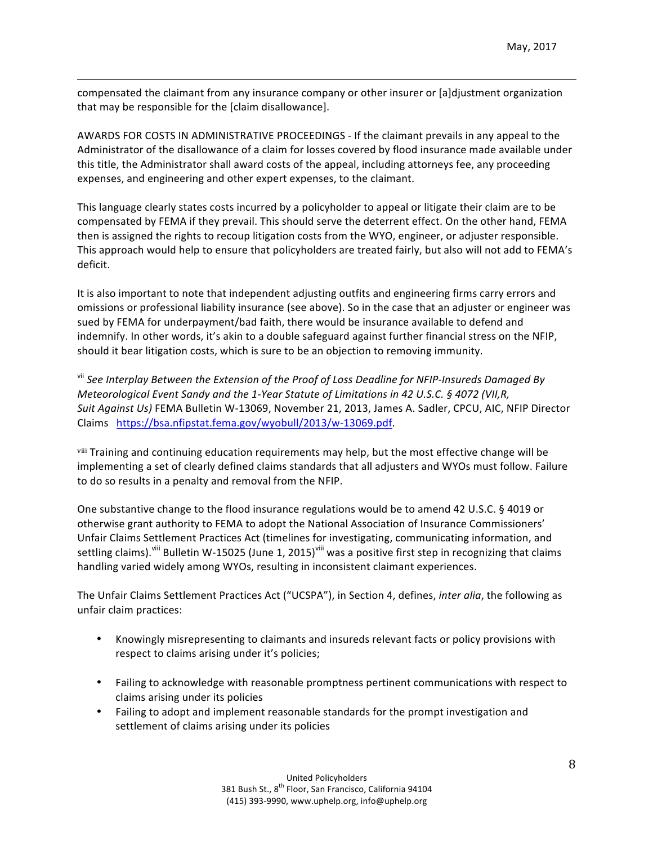compensated the claimant from any insurance company or other insurer or [a]djustment organization that may be responsible for the [claim disallowance].

<u> 1989 - Andrea San Andrea San Andrea San Andrea San Andrea San Andrea San Andrea San Andrea San Andrea San An</u>

AWARDS FOR COSTS IN ADMINISTRATIVE PROCEEDINGS - If the claimant prevails in any appeal to the Administrator of the disallowance of a claim for losses covered by flood insurance made available under this title, the Administrator shall award costs of the appeal, including attorneys fee, any proceeding expenses, and engineering and other expert expenses, to the claimant.

This language clearly states costs incurred by a policyholder to appeal or litigate their claim are to be compensated by FEMA if they prevail. This should serve the deterrent effect. On the other hand, FEMA then is assigned the rights to recoup litigation costs from the WYO, engineer, or adjuster responsible. This approach would help to ensure that policyholders are treated fairly, but also will not add to FEMA's deficit.

It is also important to note that independent adjusting outfits and engineering firms carry errors and omissions or professional liability insurance (see above). So in the case that an adjuster or engineer was sued by FEMA for underpayment/bad faith, there would be insurance available to defend and indemnify. In other words, it's akin to a double safeguard against further financial stress on the NFIP, should it bear litigation costs, which is sure to be an objection to removing immunity.

<sup>vii</sup> See Interplay Between the Extension of the Proof of Loss Deadline for NFIP-Insureds Damaged By *Meteorological Event Sandy and the 1-Year Statute of Limitations in 42 U.S.C. § 4072 (VII,R,* Suit Against Us) FEMA Bulletin W-13069, November 21, 2013, James A. Sadler, CPCU, AIC, NFIP Director Claims https://bsa.nfipstat.fema.gov/wyobull/2013/w-13069.pdf.

viii Training and continuing education requirements may help, but the most effective change will be implementing a set of clearly defined claims standards that all adjusters and WYOs must follow. Failure to do so results in a penalty and removal from the NFIP.

One substantive change to the flood insurance regulations would be to amend 42 U.S.C. § 4019 or otherwise grant authority to FEMA to adopt the National Association of Insurance Commissioners' Unfair Claims Settlement Practices Act (timelines for investigating, communicating information, and settling claims).<sup>viii</sup> Bulletin W-15025 (June 1, 2015)<sup>viii</sup> was a positive first step in recognizing that claims handling varied widely among WYOs, resulting in inconsistent claimant experiences.

The Unfair Claims Settlement Practices Act ("UCSPA"), in Section 4, defines, *inter alia*, the following as unfair claim practices:

- Knowingly misrepresenting to claimants and insureds relevant facts or policy provisions with respect to claims arising under it's policies;
- Failing to acknowledge with reasonable promptness pertinent communications with respect to claims arising under its policies
- Failing to adopt and implement reasonable standards for the prompt investigation and settlement of claims arising under its policies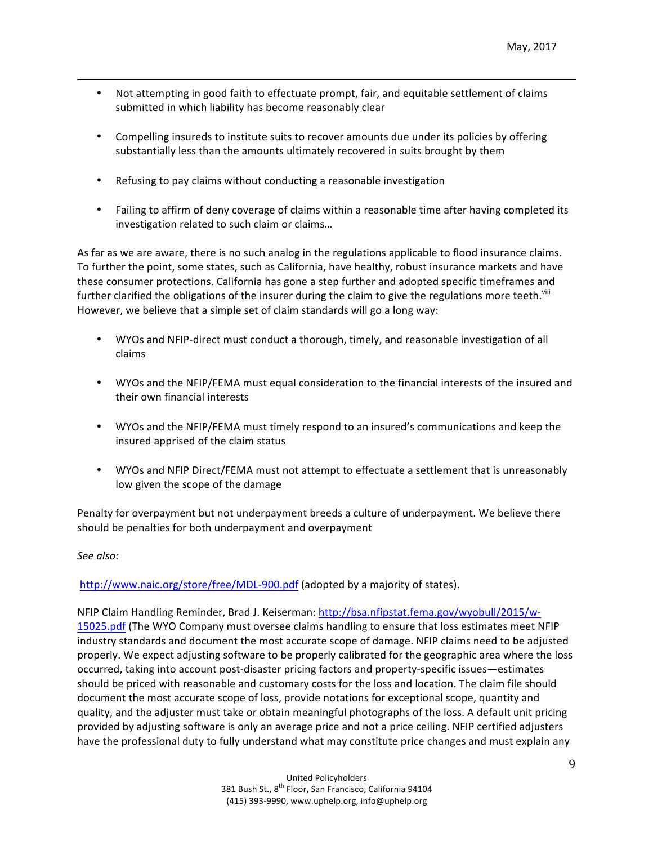Not attempting in good faith to effectuate prompt, fair, and equitable settlement of claims submitted in which liability has become reasonably clear

<u> 1989 - Andrea San Andrea San Andrea San Andrea San Andrea San Andrea San Andrea San Andrea San Andrea San An</u>

- Compelling insureds to institute suits to recover amounts due under its policies by offering substantially less than the amounts ultimately recovered in suits brought by them
- Refusing to pay claims without conducting a reasonable investigation
- Failing to affirm of deny coverage of claims within a reasonable time after having completed its investigation related to such claim or claims...

As far as we are aware, there is no such analog in the regulations applicable to flood insurance claims. To further the point, some states, such as California, have healthy, robust insurance markets and have these consumer protections. California has gone a step further and adopted specific timeframes and further clarified the obligations of the insurer during the claim to give the regulations more teeth.<sup>viii</sup> However, we believe that a simple set of claim standards will go a long way:

- WYOs and NFIP-direct must conduct a thorough, timely, and reasonable investigation of all claims
- WYOs and the NFIP/FEMA must equal consideration to the financial interests of the insured and their own financial interests
- WYOs and the NFIP/FEMA must timely respond to an insured's communications and keep the insured apprised of the claim status
- WYOs and NFIP Direct/FEMA must not attempt to effectuate a settlement that is unreasonably low given the scope of the damage

Penalty for overpayment but not underpayment breeds a culture of underpayment. We believe there should be penalties for both underpayment and overpayment

### *See also:*

http://www.naic.org/store/free/MDL-900.pdf (adopted by a majority of states).

NFIP Claim Handling Reminder, Brad J. Keiserman: http://bsa.nfipstat.fema.gov/wyobull/2015/w-15025.pdf (The WYO Company must oversee claims handling to ensure that loss estimates meet NFIP industry standards and document the most accurate scope of damage. NFIP claims need to be adjusted properly. We expect adjusting software to be properly calibrated for the geographic area where the loss occurred, taking into account post-disaster pricing factors and property-specific issues—estimates should be priced with reasonable and customary costs for the loss and location. The claim file should document the most accurate scope of loss, provide notations for exceptional scope, quantity and quality, and the adjuster must take or obtain meaningful photographs of the loss. A default unit pricing provided by adjusting software is only an average price and not a price ceiling. NFIP certified adjusters have the professional duty to fully understand what may constitute price changes and must explain any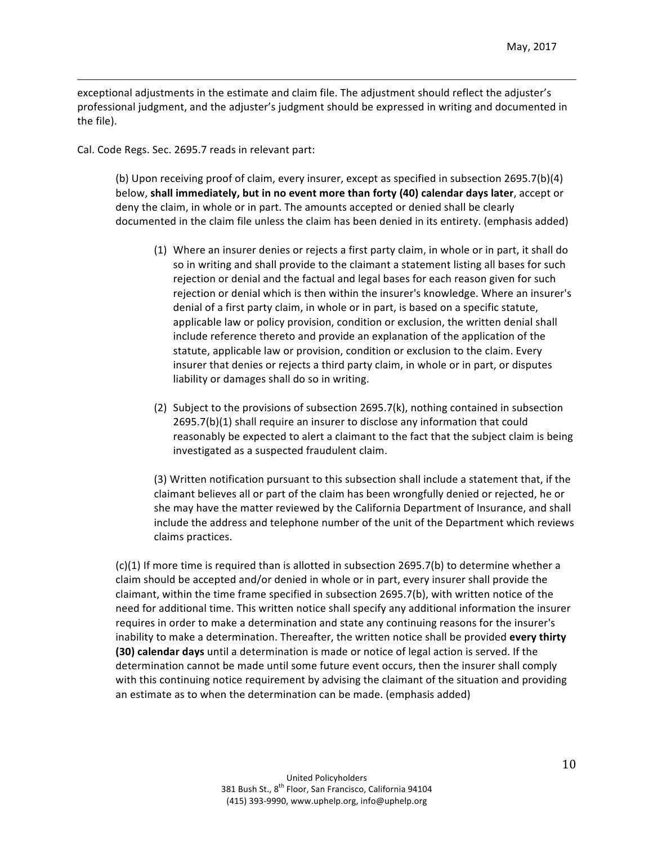exceptional adjustments in the estimate and claim file. The adjustment should reflect the adjuster's professional judgment, and the adjuster's judgment should be expressed in writing and documented in the file).

<u> 1989 - Andrea San Andrea San Andrea San Andrea San Andrea San Andrea San Andrea San Andrea San Andrea San An</u>

Cal. Code Regs. Sec. 2695.7 reads in relevant part:

(b) Upon receiving proof of claim, every insurer, except as specified in subsection 2695.7(b)(4) below, shall immediately, but in no event more than forty (40) calendar days later, accept or deny the claim, in whole or in part. The amounts accepted or denied shall be clearly documented in the claim file unless the claim has been denied in its entirety. (emphasis added)

- (1) Where an insurer denies or rejects a first party claim, in whole or in part, it shall do so in writing and shall provide to the claimant a statement listing all bases for such rejection or denial and the factual and legal bases for each reason given for such rejection or denial which is then within the insurer's knowledge. Where an insurer's denial of a first party claim, in whole or in part, is based on a specific statute, applicable law or policy provision, condition or exclusion, the written denial shall include reference thereto and provide an explanation of the application of the statute, applicable law or provision, condition or exclusion to the claim. Every insurer that denies or rejects a third party claim, in whole or in part, or disputes liability or damages shall do so in writing.
- (2) Subject to the provisions of subsection  $2695.7(k)$ , nothing contained in subsection  $2695.7(b)(1)$  shall require an insurer to disclose any information that could reasonably be expected to alert a claimant to the fact that the subject claim is being investigated as a suspected fraudulent claim.

(3) Written notification pursuant to this subsection shall include a statement that, if the claimant believes all or part of the claim has been wrongfully denied or rejected, he or she may have the matter reviewed by the California Department of Insurance, and shall include the address and telephone number of the unit of the Department which reviews claims practices.

 $(c)(1)$  If more time is required than is allotted in subsection 2695.7(b) to determine whether a claim should be accepted and/or denied in whole or in part, every insurer shall provide the claimant, within the time frame specified in subsection 2695.7(b), with written notice of the need for additional time. This written notice shall specify any additional information the insurer requires in order to make a determination and state any continuing reasons for the insurer's inability to make a determination. Thereafter, the written notice shall be provided every thirty **(30)** calendar days until a determination is made or notice of legal action is served. If the determination cannot be made until some future event occurs, then the insurer shall comply with this continuing notice requirement by advising the claimant of the situation and providing an estimate as to when the determination can be made. (emphasis added)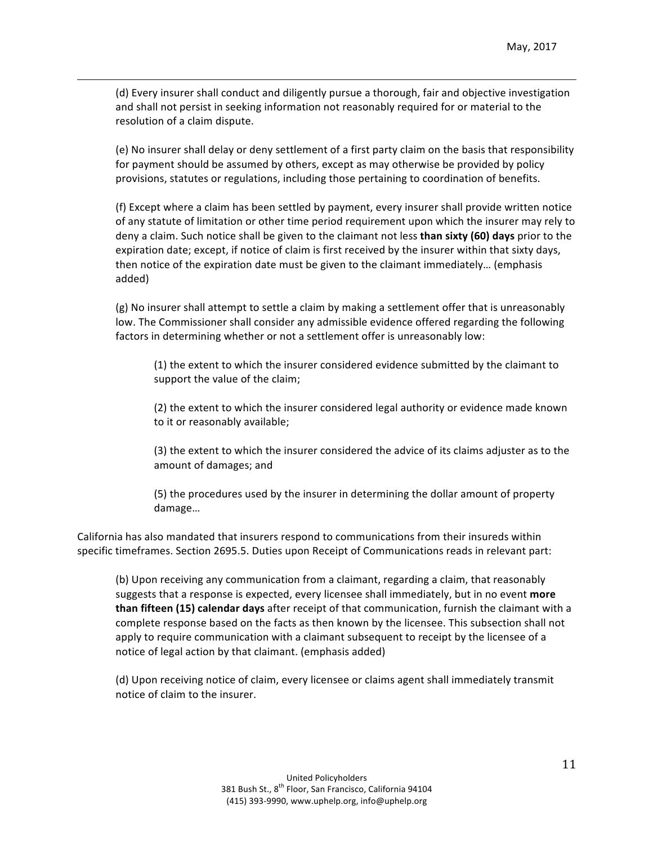(d) Every insurer shall conduct and diligently pursue a thorough, fair and objective investigation and shall not persist in seeking information not reasonably required for or material to the resolution of a claim dispute.

<u> 1989 - Andrea San Andrea San Andrea San Andrea San Andrea San Andrea San Andrea San Andrea San Andrea San An</u>

(e) No insurer shall delay or deny settlement of a first party claim on the basis that responsibility for payment should be assumed by others, except as may otherwise be provided by policy provisions, statutes or regulations, including those pertaining to coordination of benefits.

(f) Except where a claim has been settled by payment, every insurer shall provide written notice of any statute of limitation or other time period requirement upon which the insurer may rely to deny a claim. Such notice shall be given to the claimant not less **than sixty (60) days** prior to the expiration date; except, if notice of claim is first received by the insurer within that sixty days, then notice of the expiration date must be given to the claimant immediately... (emphasis added)

(g) No insurer shall attempt to settle a claim by making a settlement offer that is unreasonably low. The Commissioner shall consider any admissible evidence offered regarding the following factors in determining whether or not a settlement offer is unreasonably low:

(1) the extent to which the insurer considered evidence submitted by the claimant to support the value of the claim;

(2) the extent to which the insurer considered legal authority or evidence made known to it or reasonably available;

(3) the extent to which the insurer considered the advice of its claims adjuster as to the amount of damages; and

(5) the procedures used by the insurer in determining the dollar amount of property damage…

California has also mandated that insurers respond to communications from their insureds within specific timeframes. Section 2695.5. Duties upon Receipt of Communications reads in relevant part:

(b) Upon receiving any communication from a claimant, regarding a claim, that reasonably suggests that a response is expected, every licensee shall immediately, but in no event **more than fifteen (15) calendar days** after receipt of that communication, furnish the claimant with a complete response based on the facts as then known by the licensee. This subsection shall not apply to require communication with a claimant subsequent to receipt by the licensee of a notice of legal action by that claimant. (emphasis added)

(d) Upon receiving notice of claim, every licensee or claims agent shall immediately transmit notice of claim to the insurer.